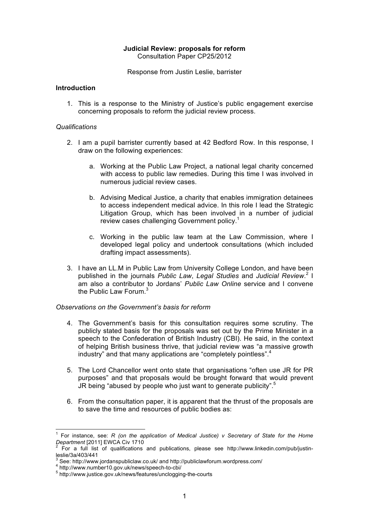### **Judicial Review: proposals for reform** Consultation Paper CP25/2012

Response from Justin Leslie, barrister

# **Introduction**

1. This is a response to the Ministry of Justice's public engagement exercise concerning proposals to reform the judicial review process.

### *Qualifications*

- 2. I am a pupil barrister currently based at 42 Bedford Row. In this response, I draw on the following experiences:
	- a. Working at the Public Law Project, a national legal charity concerned with access to public law remedies. During this time I was involved in numerous judicial review cases.
	- b. Advising Medical Justice, a charity that enables immigration detainees to access independent medical advice. In this role I lead the Strategic Litigation Group, which has been involved in a number of judicial review cases challenging Government policy.<sup>1</sup>
	- c. Working in the public law team at the Law Commission, where I developed legal policy and undertook consultations (which included drafting impact assessments).
- 3. I have an LL.M in Public Law from University College London, and have been published in the journals *Public Law*, *Legal Studies* and *Judicial Review*. 2 I am also a contributor to Jordans' *Public Law Online* service and I convene the Public Law Forum.<sup>3</sup>

#### *Observations on the Government's basis for reform*

- 4. The Government's basis for this consultation requires some scrutiny. The publicly stated basis for the proposals was set out by the Prime Minister in a speech to the Confederation of British Industry (CBI). He said, in the context of helping British business thrive, that judicial review was "a massive growth industry" and that many applications are "completely pointless".<sup>4</sup>
- 5. The Lord Chancellor went onto state that organisations "often use JR for PR purposes" and that proposals would be brought forward that would prevent JR being "abused by people who just want to generate publicity".<sup>5</sup>
- 6. From the consultation paper, it is apparent that the thrust of the proposals are to save the time and resources of public bodies as:

 <sup>1</sup> For instance, see: *R (on the application of Medical Justice) v Secretary of State for the Home Department* [2011] EWCA Civ 1710

For a full list of qualifications and publications, please see http://www.linkedin.com/pub/justinleslie/3a/403/441<br>
<sup>3</sup> See: http://www.jordanspubliclaw.co.uk/ and http://publiclawforum.wordpress.com/

<sup>3</sup>

<sup>4</sup> http://www.number10.gov.uk/news/speech-to-cbi/<br>5 http://www.justice.gov.uk/news/features/unclogging-the-courts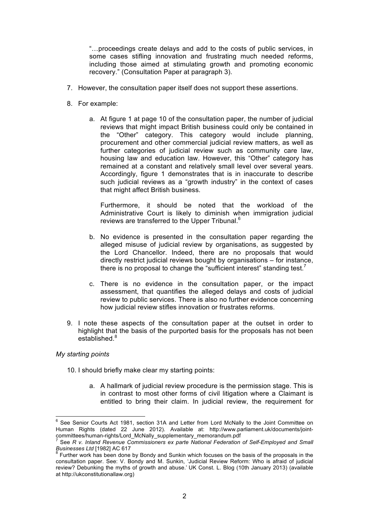"…proceedings create delays and add to the costs of public services, in some cases stifling innovation and frustrating much needed reforms, including those aimed at stimulating growth and promoting economic recovery." (Consultation Paper at paragraph 3).

- 7. However, the consultation paper itself does not support these assertions.
- 8. For example:
	- a. At figure 1 at page 10 of the consultation paper, the number of judicial reviews that might impact British business could only be contained in the "Other" category. This category would include planning, procurement and other commercial judicial review matters, as well as further categories of judicial review such as community care law, housing law and education law. However, this "Other" category has remained at a constant and relatively small level over several years. Accordingly, figure 1 demonstrates that is in inaccurate to describe such judicial reviews as a "growth industry" in the context of cases that might affect British business.

Furthermore, it should be noted that the workload of the Administrative Court is likely to diminish when immigration judicial reviews are transferred to the Upper Tribunal.<sup>6</sup>

- b. No evidence is presented in the consultation paper regarding the alleged misuse of judicial review by organisations, as suggested by the Lord Chancellor. Indeed, there are no proposals that would directly restrict judicial reviews bought by organisations – for instance, there is no proposal to change the "sufficient interest" standing test.<sup>7</sup>
- c. There is no evidence in the consultation paper, or the impact assessment, that quantifies the alleged delays and costs of judicial review to public services. There is also no further evidence concerning how judicial review stifles innovation or frustrates reforms.
- 9. I note these aspects of the consultation paper at the outset in order to highlight that the basis of the purported basis for the proposals has not been established.<sup>8</sup>

#### *My starting points*

- 10. I should briefly make clear my starting points:
	- a. A hallmark of judicial review procedure is the permission stage. This is in contrast to most other forms of civil litigation where a Claimant is entitled to bring their claim. In judicial review, the requirement for

<sup>&</sup>lt;u>Endone Courte</u><br>
<sup>6</sup> See Senior Courts Act 1981, section 31A and Letter from Lord McNally to the Joint Committee on Human Rights (dated 22 June 2012). Available at: http://www.parliament.uk/documents/jointcommittees/human-rights/Lord\_McNally\_supplementary\_memorandum.pdf 7

See *R v. Inland Revenue Commissioners ex parte National Federation of Self-Employed and Small* 

*Businesses Ltd* [1982] AC 617<br><sup>8</sup> Further work has been done by Bondy and Sunkin which focuses on the basis of the proposals in the consultation paper. See: V. Bondy and M. Sunkin, 'Judicial Review Reform: Who is afraid of judicial review? Debunking the myths of growth and abuse.' UK Const. L. Blog (10th January 2013) (available at http://ukconstitutionallaw.org)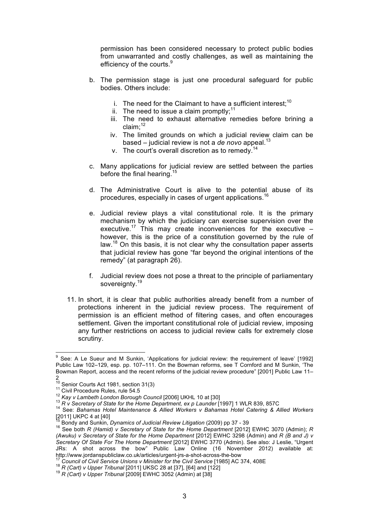permission has been considered necessary to protect public bodies from unwarranted and costly challenges, as well as maintaining the efficiency of the courts.<sup>9</sup>

- b. The permission stage is just one procedural safeguard for public bodies. Others include:
	- i. The need for the Claimant to have a sufficient interest;<sup>10</sup>
	- ii. The need to issue a claim promptly: $11$
	- iii. The need to exhaust alternative remedies before brining a claim; 12
	- iv. The limited grounds on which a judicial review claim can be based – judicial review is not a *de novo* appeal. 13
	- v. The court's overall discretion as to remedy.<sup>14</sup>
- c. Many applications for judicial review are settled between the parties before the final hearing.<sup>15</sup>
- d. The Administrative Court is alive to the potential abuse of its procedures, especially in cases of urgent applications.<sup>16</sup>
- e. Judicial review plays a vital constitutional role. It is the primary mechanism by which the judiciary can exercise supervision over the executive.<sup>17</sup> This may create inconveniences for the executive  $$ however, this is the price of a constitution governed by the rule of law.<sup>18</sup> On this basis, it is not clear why the consultation paper asserts that judicial review has gone "far beyond the original intentions of the remedy" (at paragraph 26).
- f. Judicial review does not pose a threat to the principle of parliamentary sovereignty.<sup>19</sup>
- 11. In short, it is clear that public authorities already benefit from a number of protections inherent in the judicial review process. The requirement of permission is an efficient method of filtering cases, and often encourages settlement. Given the important constitutional role of judicial review, imposing any further restrictions on access to judicial review calls for extremely close scrutiny.

<sup>17</sup> Council of Civil Service Unions v Minister for the Civil Service [1985] AC 374, 408E<br><sup>18</sup> R (Cart) v Upper Tribunal [2011] UKSC 28 at [37], [64] and [122]<br><sup>19</sup> R (Cart) v Upper Tribunal [2009] EWHC 3052 (Admin) at [3

entilation<br>
<sup>9</sup> See: A Le Sueur and M Sunkin, 'Applications for judicial review: the requirement of leave' [1992] Public Law 102–129, esp. pp. 107–111. On the Bowman reforms, see T Cornford and M Sunkin, 'The Bowman Report, access and the recent reforms of the judicial review procedure" [2001] Public Law 11–

 $\overline{10}$  Senior Courts Act 1981, section 31(3)

<sup>&</sup>lt;sup>11</sup> Civil Procedure Rules, rule 54.5<br><sup>12</sup> Kay v Lambeth London Borough Council [2006] UKHL 10 at [30]<br><sup>13</sup> R v Secretary of State for the Home Department, ex p Launder [1997] 1 WLR 839, 857C<br><sup>14</sup> See: Bahamas Hotel Maint [2011] UKPC 4 at [40]<br><sup>15</sup> Bondy and Sunkin, Dynamics of Judicial Review Litigation (2009) pp 37 - 39

<sup>&</sup>lt;sup>16</sup> See both *R (Hamid) v Secretary of State for the Home Department* [2012] EWHC 3070 (Admin); *R (Awuku) v Secretary of State for the Home Department* [2012] EWHC 3298 (Admin) and *R (B and J) v Secretary Of State For The Home Department* [2012] EWHC 3770 (Admin). See also: J Leslie, "Urgent JRs: A shot across the bow" Public Law Online (16 November 2012) available at: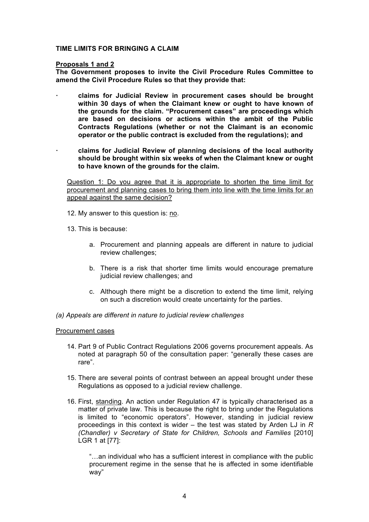### **TIME LIMITS FOR BRINGING A CLAIM**

#### **Proposals 1 and 2**

**The Government proposes to invite the Civil Procedure Rules Committee to amend the Civil Procedure Rules so that they provide that:**

- **· claims for Judicial Review in procurement cases should be brought within 30 days of when the Claimant knew or ought to have known of the grounds for the claim. "Procurement cases" are proceedings which are based on decisions or actions within the ambit of the Public Contracts Regulations (whether or not the Claimant is an economic operator or the public contract is excluded from the regulations); and**
- **· claims for Judicial Review of planning decisions of the local authority should be brought within six weeks of when the Claimant knew or ought to have known of the grounds for the claim.**

Question 1: Do you agree that it is appropriate to shorten the time limit for procurement and planning cases to bring them into line with the time limits for an appeal against the same decision?

- 12. My answer to this question is: no.
- 13. This is because:
	- a. Procurement and planning appeals are different in nature to judicial review challenges;
	- b. There is a risk that shorter time limits would encourage premature judicial review challenges; and
	- c. Although there might be a discretion to extend the time limit, relying on such a discretion would create uncertainty for the parties.
- *(a) Appeals are different in nature to judicial review challenges*

#### Procurement cases

- 14. Part 9 of Public Contract Regulations 2006 governs procurement appeals. As noted at paragraph 50 of the consultation paper: "generally these cases are rare".
- 15. There are several points of contrast between an appeal brought under these Regulations as opposed to a judicial review challenge.
- 16. First, standing. An action under Regulation 47 is typically characterised as a matter of private law. This is because the right to bring under the Regulations is limited to "economic operators". However, standing in judicial review proceedings in this context is wider – the test was stated by Arden LJ in *R (Chandler) v Secretary of State for Children, Schools and Families* [2010] LGR 1 at [77]:

"…an individual who has a sufficient interest in compliance with the public procurement regime in the sense that he is affected in some identifiable way"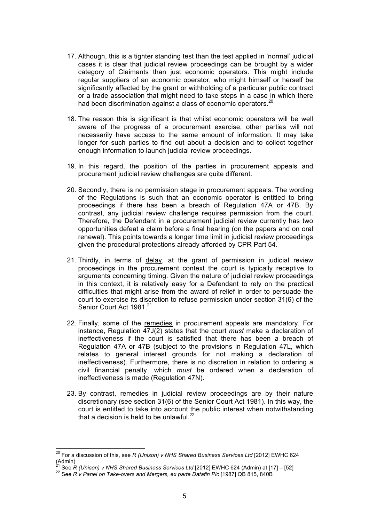- 17. Although, this is a tighter standing test than the test applied in 'normal' judicial cases it is clear that judicial review proceedings can be brought by a wider category of Claimants than just economic operators. This might include regular suppliers of an economic operator, who might himself or herself be significantly affected by the grant or withholding of a particular public contract or a trade association that might need to take steps in a case in which there had been discrimination against a class of economic operators.<sup>20</sup>
- 18. The reason this is significant is that whilst economic operators will be well aware of the progress of a procurement exercise, other parties will not necessarily have access to the same amount of information. It may take longer for such parties to find out about a decision and to collect together enough information to launch judicial review proceedings.
- 19. In this regard, the position of the parties in procurement appeals and procurement judicial review challenges are quite different.
- 20. Secondly, there is no permission stage in procurement appeals. The wording of the Regulations is such that an economic operator is entitled to bring proceedings if there has been a breach of Regulation 47A or 47B. By contrast, any judicial review challenge requires permission from the court. Therefore, the Defendant in a procurement judicial review currently has two opportunities defeat a claim before a final hearing (on the papers and on oral renewal). This points towards a longer time limit in judicial review proceedings given the procedural protections already afforded by CPR Part 54.
- 21. Thirdly, in terms of delay, at the grant of permission in judicial review proceedings in the procurement context the court is typically receptive to arguments concerning timing. Given the nature of judicial review proceedings in this context, it is relatively easy for a Defendant to rely on the practical difficulties that might arise from the award of relief in order to persuade the court to exercise its discretion to refuse permission under section 31(6) of the Senior Court Act 1981.<sup>21</sup>
- 22. Finally, some of the remedies in procurement appeals are mandatory. For instance, Regulation 47J(2) states that the court *must* make a declaration of ineffectiveness if the court is satisfied that there has been a breach of Regulation 47A or 47B (subject to the provisions in Regulation 47L, which relates to general interest grounds for not making a declaration of ineffectiveness). Furthermore, there is no discretion in relation to ordering a civil financial penalty, which *must* be ordered when a declaration of ineffectiveness is made (Regulation 47N).
- 23. By contrast, remedies in judicial review proceedings are by their nature discretionary (see section 31(6) of the Senior Court Act 1981). In this way, the court is entitled to take into account the public interest when notwithstanding that a decision is held to be unlawful. $^{22}$

 <sup>20</sup> For a discussion of this, see *R (Unison) v NHS Shared Business Services Ltd* [2012] EWHC 624 Admin)<br><sup>21</sup> See R (Unison) v NHS Shared Business Services Ltd [2012] EWHC 624 (Admin) at [17] – [52]

<sup>22</sup> See *R v Panel on Take-overs and Mergers, ex parte Datafin Plc* [1987] QB 815, 840B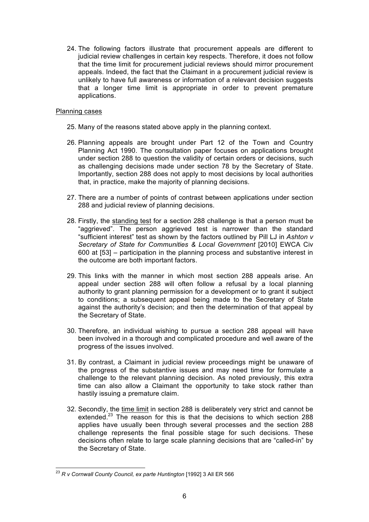24. The following factors illustrate that procurement appeals are different to judicial review challenges in certain key respects. Therefore, it does not follow that the time limit for procurement judicial reviews should mirror procurement appeals. Indeed, the fact that the Claimant in a procurement judicial review is unlikely to have full awareness or information of a relevant decision suggests that a longer time limit is appropriate in order to prevent premature applications.

### Planning cases

- 25. Many of the reasons stated above apply in the planning context.
- 26. Planning appeals are brought under Part 12 of the Town and Country Planning Act 1990. The consultation paper focuses on applications brought under section 288 to question the validity of certain orders or decisions, such as challenging decisions made under section 78 by the Secretary of State. Importantly, section 288 does not apply to most decisions by local authorities that, in practice, make the majority of planning decisions.
- 27. There are a number of points of contrast between applications under section 288 and judicial review of planning decisions.
- 28. Firstly, the standing test for a section 288 challenge is that a person must be "aggrieved". The person aggrieved test is narrower than the standard "sufficient interest" test as shown by the factors outlined by Pill LJ in *Ashton v Secretary of State for Communities & Local Government* [2010] EWCA Civ 600 at [53] – participation in the planning process and substantive interest in the outcome are both important factors.
- 29. This links with the manner in which most section 288 appeals arise. An appeal under section 288 will often follow a refusal by a local planning authority to grant planning permission for a development or to grant it subject to conditions; a subsequent appeal being made to the Secretary of State against the authority's decision; and then the determination of that appeal by the Secretary of State.
- 30. Therefore, an individual wishing to pursue a section 288 appeal will have been involved in a thorough and complicated procedure and well aware of the progress of the issues involved.
- 31. By contrast, a Claimant in judicial review proceedings might be unaware of the progress of the substantive issues and may need time for formulate a challenge to the relevant planning decision. As noted previously, this extra time can also allow a Claimant the opportunity to take stock rather than hastily issuing a premature claim.
- 32. Secondly, the time limit in section 288 is deliberately very strict and cannot be extended.<sup>23</sup> The reason for this is that the decisions to which section 288 applies have usually been through several processes and the section 288 challenge represents the final possible stage for such decisions. These decisions often relate to large scale planning decisions that are "called-in" by the Secretary of State.

<sup>&</sup>lt;sup>23</sup> R v Cornwall County Council, ex parte Huntington [1992] 3 All ER 566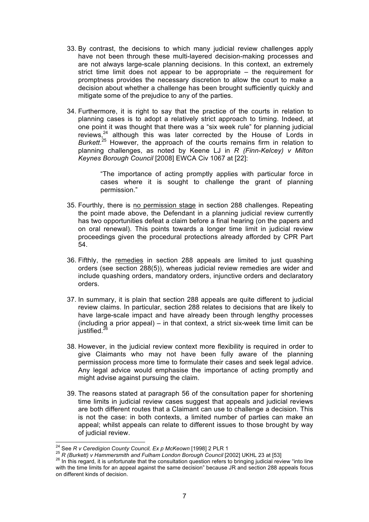- 33. By contrast, the decisions to which many judicial review challenges apply have not been through these multi-layered decision-making processes and are not always large-scale planning decisions. In this context, an extremely strict time limit does not appear to be appropriate – the requirement for promptness provides the necessary discretion to allow the court to make a decision about whether a challenge has been brought sufficiently quickly and mitigate some of the prejudice to any of the parties.
- 34. Furthermore, it is right to say that the practice of the courts in relation to planning cases is to adopt a relatively strict approach to timing. Indeed, at one point it was thought that there was a "six week rule" for planning judicial reviews,<sup>24</sup> although this was later corrected by the House of Lords in *Burkett*. <sup>25</sup> However, the approach of the courts remains firm in relation to planning challenges, as noted by Keene LJ in *R (Finn-Kelcey) v Milton Keynes Borough Council* [2008] EWCA Civ 1067 at [22]:

"The importance of acting promptly applies with particular force in cases where it is sought to challenge the grant of planning permission."

- 35. Fourthly, there is no permission stage in section 288 challenges. Repeating the point made above, the Defendant in a planning judicial review currently has two opportunities defeat a claim before a final hearing (on the papers and on oral renewal). This points towards a longer time limit in judicial review proceedings given the procedural protections already afforded by CPR Part 54.
- 36. Fifthly, the remedies in section 288 appeals are limited to just quashing orders (see section 288(5)), whereas judicial review remedies are wider and include quashing orders, mandatory orders, injunctive orders and declaratory orders.
- 37. In summary, it is plain that section 288 appeals are quite different to judicial review claims. In particular, section 288 relates to decisions that are likely to have large-scale impact and have already been through lengthy processes (including a prior appeal) – in that context, a strict six-week time limit can be justified.<sup>26</sup>
- 38. However, in the judicial review context more flexibility is required in order to give Claimants who may not have been fully aware of the planning permission process more time to formulate their cases and seek legal advice. Any legal advice would emphasise the importance of acting promptly and might advise against pursuing the claim.
- 39. The reasons stated at paragraph 56 of the consultation paper for shortening time limits in judicial review cases suggest that appeals and judicial reviews are both different routes that a Claimant can use to challenge a decision. This is not the case: in both contexts, a limited number of parties can make an appeal; whilst appeals can relate to different issues to those brought by way of judicial review.

<sup>&</sup>lt;sup>24</sup> See R v Ceredigion County Council, Ex p McKeown [1998] 2 PLR 1<br><sup>25</sup> R (Burkett) v Hammersmith and Fulham London Borough Council [2002] UKHL 23 at [53]<br><sup>26</sup> In this regard, it is unfortunate that the consultation ques with the time limits for an appeal against the same decision" because JR and section 288 appeals focus on different kinds of decision.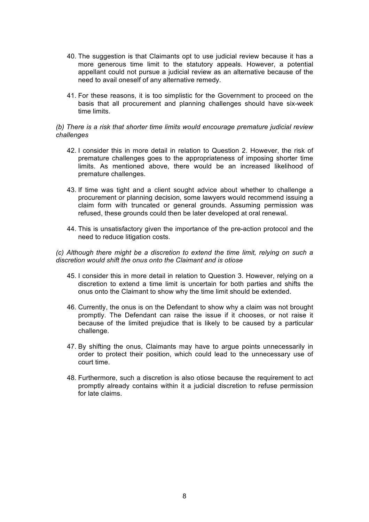- 40. The suggestion is that Claimants opt to use judicial review because it has a more generous time limit to the statutory appeals. However, a potential appellant could not pursue a judicial review as an alternative because of the need to avail oneself of any alternative remedy.
- 41. For these reasons, it is too simplistic for the Government to proceed on the basis that all procurement and planning challenges should have six-week time limits.

### *(b) There is a risk that shorter time limits would encourage premature judicial review challenges*

- 42. I consider this in more detail in relation to Question 2. However, the risk of premature challenges goes to the appropriateness of imposing shorter time limits. As mentioned above, there would be an increased likelihood of premature challenges.
- 43. If time was tight and a client sought advice about whether to challenge a procurement or planning decision, some lawyers would recommend issuing a claim form with truncated or general grounds. Assuming permission was refused, these grounds could then be later developed at oral renewal.
- 44. This is unsatisfactory given the importance of the pre-action protocol and the need to reduce litigation costs.

*(c) Although there might be a discretion to extend the time limit, relying on such a discretion would shift the onus onto the Claimant and is otiose*

- 45. I consider this in more detail in relation to Question 3. However, relying on a discretion to extend a time limit is uncertain for both parties and shifts the onus onto the Claimant to show why the time limit should be extended.
- 46. Currently, the onus is on the Defendant to show why a claim was not brought promptly. The Defendant can raise the issue if it chooses, or not raise it because of the limited prejudice that is likely to be caused by a particular challenge.
- 47. By shifting the onus, Claimants may have to argue points unnecessarily in order to protect their position, which could lead to the unnecessary use of court time.
- 48. Furthermore, such a discretion is also otiose because the requirement to act promptly already contains within it a judicial discretion to refuse permission for late claims.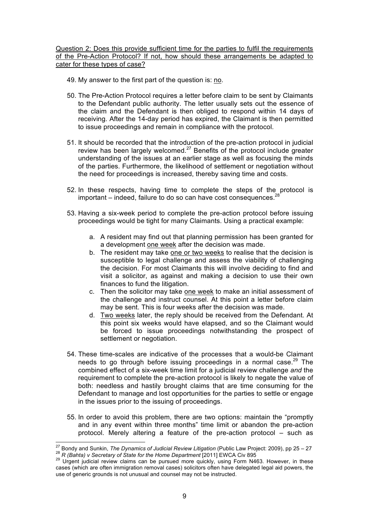Question 2: Does this provide sufficient time for the parties to fulfil the requirements of the Pre-Action Protocol? If not, how should these arrangements be adapted to cater for these types of case?

- 49. My answer to the first part of the question is: no.
- 50. The Pre-Action Protocol requires a letter before claim to be sent by Claimants to the Defendant public authority. The letter usually sets out the essence of the claim and the Defendant is then obliged to respond within 14 days of receiving. After the 14-day period has expired, the Claimant is then permitted to issue proceedings and remain in compliance with the protocol.
- 51. It should be recorded that the introduction of the pre-action protocol in judicial review has been largely welcomed. $^{27}$  Benefits of the protocol include greater understanding of the issues at an earlier stage as well as focusing the minds of the parties. Furthermore, the likelihood of settlement or negotiation without the need for proceedings is increased, thereby saving time and costs.
- 52. In these respects, having time to complete the steps of the protocol is  $im$ portant – indeed, failure to do so can have cost consequences.<sup>28</sup>
- 53. Having a six-week period to complete the pre-action protocol before issuing proceedings would be tight for many Claimants. Using a practical example:
	- a. A resident may find out that planning permission has been granted for a development one week after the decision was made.
	- b. The resident may take one or two weeks to realise that the decision is susceptible to legal challenge and assess the viability of challenging the decision. For most Claimants this will involve deciding to find and visit a solicitor, as against and making a decision to use their own finances to fund the litigation.
	- c. Then the solicitor may take one week to make an initial assessment of the challenge and instruct counsel. At this point a letter before claim may be sent. This is four weeks after the decision was made.
	- d. Two weeks later, the reply should be received from the Defendant. At this point six weeks would have elapsed, and so the Claimant would be forced to issue proceedings notwithstanding the prospect of settlement or negotiation.
- 54. These time-scales are indicative of the processes that a would-be Claimant needs to go through before issuing proceedings in a normal case.<sup>29</sup> The combined effect of a six-week time limit for a judicial review challenge *and* the requirement to complete the pre-action protocol is likely to negate the value of both: needless and hastily brought claims that are time consuming for the Defendant to manage and lost opportunities for the parties to settle or engage in the issues prior to the issuing of proceedings.
- 55. In order to avoid this problem, there are two options: maintain the "promptly and in any event within three months" time limit or abandon the pre-action protocol. Merely altering a feature of the pre-action protocol – such as

<sup>&</sup>lt;sup>27</sup> Bondy and Sunkin, *The Dynamics of Judicial Review Litigation* (Public Law Project: 2009), pp 25 – 27<br><sup>28</sup> R (Bahta) v Secretary of State for the Home Department [2011] EWCA Civ 895<br><sup>29</sup> Urgent judicial review claims

cases (which are often immigration removal cases) solicitors often have delegated legal aid powers, the use of generic grounds is not unusual and counsel may not be instructed.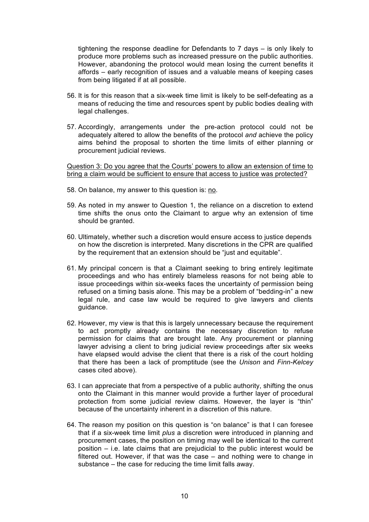tightening the response deadline for Defendants to 7 days – is only likely to produce more problems such as increased pressure on the public authorities. However, abandoning the protocol would mean losing the current benefits it affords – early recognition of issues and a valuable means of keeping cases from being litigated if at all possible.

- 56. It is for this reason that a six-week time limit is likely to be self-defeating as a means of reducing the time and resources spent by public bodies dealing with legal challenges.
- 57. Accordingly, arrangements under the pre-action protocol could not be adequately altered to allow the benefits of the protocol *and* achieve the policy aims behind the proposal to shorten the time limits of either planning or procurement judicial reviews.

Question 3: Do you agree that the Courts' powers to allow an extension of time to bring a claim would be sufficient to ensure that access to justice was protected?

- 58. On balance, my answer to this question is: no.
- 59. As noted in my answer to Question 1, the reliance on a discretion to extend time shifts the onus onto the Claimant to argue why an extension of time should be granted.
- 60. Ultimately, whether such a discretion would ensure access to justice depends on how the discretion is interpreted. Many discretions in the CPR are qualified by the requirement that an extension should be "just and equitable".
- 61. My principal concern is that a Claimant seeking to bring entirely legitimate proceedings and who has entirely blameless reasons for not being able to issue proceedings within six-weeks faces the uncertainty of permission being refused on a timing basis alone. This may be a problem of "bedding-in" a new legal rule, and case law would be required to give lawyers and clients guidance.
- 62. However, my view is that this is largely unnecessary because the requirement to act promptly already contains the necessary discretion to refuse permission for claims that are brought late. Any procurement or planning lawyer advising a client to bring judicial review proceedings after six weeks have elapsed would advise the client that there is a risk of the court holding that there has been a lack of promptitude (see the *Unison* and *Finn-Kelcey* cases cited above).
- 63. I can appreciate that from a perspective of a public authority, shifting the onus onto the Claimant in this manner would provide a further layer of procedural protection from some judicial review claims. However, the layer is "thin" because of the uncertainty inherent in a discretion of this nature.
- 64. The reason my position on this question is "on balance" is that I can foresee that if a six-week time limit *plus* a discretion were introduced in planning and procurement cases, the position on timing may well be identical to the current position – i.e. late claims that are prejudicial to the public interest would be filtered out. However, if that was the case – and nothing were to change in substance – the case for reducing the time limit falls away.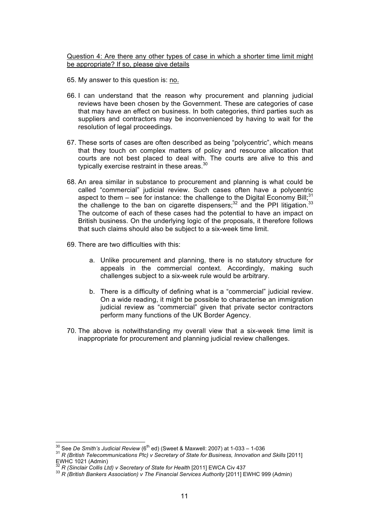Question 4: Are there any other types of case in which a shorter time limit might be appropriate? If so, please give details

- 65. My answer to this question is: no.
- 66. I can understand that the reason why procurement and planning judicial reviews have been chosen by the Government. These are categories of case that may have an effect on business. In both categories, third parties such as suppliers and contractors may be inconvenienced by having to wait for the resolution of legal proceedings.
- 67. These sorts of cases are often described as being "polycentric", which means that they touch on complex matters of policy and resource allocation that courts are not best placed to deal with. The courts are alive to this and typically exercise restraint in these areas.<sup>30</sup>
- 68. An area similar in substance to procurement and planning is what could be called "commercial" judicial review. Such cases often have a polycentric aspect to them – see for instance: the challenge to the Digital Economy Bill;<sup>31</sup> the challenge to the ban on cigarette dispensers;<sup>32</sup> and the PPI litigation.<sup>33</sup> The outcome of each of these cases had the potential to have an impact on British business. On the underlying logic of the proposals, it therefore follows that such claims should also be subject to a six-week time limit.
- 69. There are two difficulties with this:
	- a. Unlike procurement and planning, there is no statutory structure for appeals in the commercial context. Accordingly, making such challenges subject to a six-week rule would be arbitrary.
	- b. There is a difficulty of defining what is a "commercial" judicial review. On a wide reading, it might be possible to characterise an immigration judicial review as "commercial" given that private sector contractors perform many functions of the UK Border Agency.
- 70. The above is notwithstanding my overall view that a six-week time limit is inappropriate for procurement and planning judicial review challenges.

<sup>&</sup>lt;sup>30</sup> See *De Smith's Judicial Review* (6<sup>th</sup> ed) (Sweet & Maxwell: 2007) at 1-033 – 1-036<br><sup>31</sup> *R (British Telecommunications Plc) v Secretary of State for Business, Innovation and Skills* [2011] EWHC 1021 (Admin)<br>
<sup>32</sup> R (Sinclair Collis Ltd) v Secretary of State for Health [2011] EWCA Civ 437

<sup>&</sup>lt;sup>33</sup> R (British Bankers Association) v The Financial Services Authority [2011] EWHC 999 (Admin)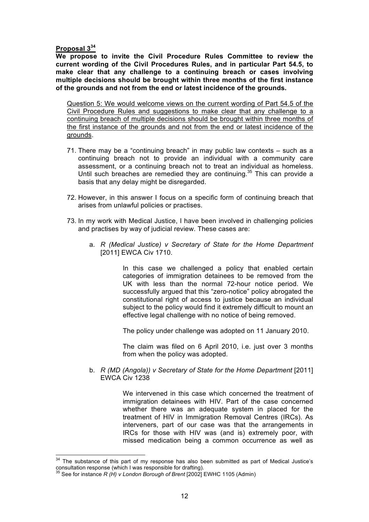### **Proposal 3<sup>34</sup>**

**We propose to invite the Civil Procedure Rules Committee to review the current wording of the Civil Procedures Rules, and in particular Part 54.5, to make clear that any challenge to a continuing breach or cases involving multiple decisions should be brought within three months of the first instance of the grounds and not from the end or latest incidence of the grounds.**

Question 5: We would welcome views on the current wording of Part 54.5 of the Civil Procedure Rules and suggestions to make clear that any challenge to a continuing breach of multiple decisions should be brought within three months of the first instance of the grounds and not from the end or latest incidence of the grounds.

- 71. There may be a "continuing breach" in may public law contexts such as a continuing breach not to provide an individual with a community care assessment, or a continuing breach not to treat an individual as homeless. Until such breaches are remedied they are continuing.<sup>35</sup> This can provide a basis that any delay might be disregarded.
- 72. However, in this answer I focus on a specific form of continuing breach that arises from unlawful policies or practises.
- 73. In my work with Medical Justice, I have been involved in challenging policies and practises by way of judicial review. These cases are:
	- a. *R (Medical Justice) v Secretary of State for the Home Department* [2011] EWCA Civ 1710.

In this case we challenged a policy that enabled certain categories of immigration detainees to be removed from the UK with less than the normal 72-hour notice period. We successfully argued that this "zero-notice" policy abrogated the constitutional right of access to justice because an individual subject to the policy would find it extremely difficult to mount an effective legal challenge with no notice of being removed.

The policy under challenge was adopted on 11 January 2010.

The claim was filed on 6 April 2010, i.e. just over 3 months from when the policy was adopted.

b. *R (MD (Angola)) v Secretary of State for the Home Department* [2011] EWCA Civ 1238

> We intervened in this case which concerned the treatment of immigration detainees with HIV. Part of the case concerned whether there was an adequate system in placed for the treatment of HIV in Immigration Removal Centres (IRCs). As interveners, part of our case was that the arrangements in IRCs for those with HIV was (and is) extremely poor, with missed medication being a common occurrence as well as

 $34$  The substance of this part of my response has also been submitted as part of Medical Justice's consultation response (which I was responsible for drafting).

See for instance *R (H) v London Borough of Brent* [2002] EWHC 1105 (Admin).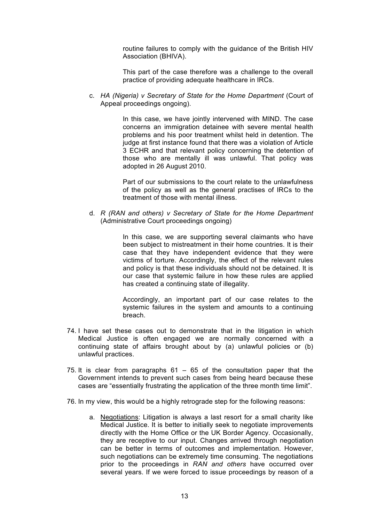routine failures to comply with the guidance of the British HIV Association (BHIVA).

This part of the case therefore was a challenge to the overall practice of providing adequate healthcare in IRCs.

c. *HA (Nigeria) v Secretary of State for the Home Department* (Court of Appeal proceedings ongoing).

> In this case, we have jointly intervened with MIND. The case concerns an immigration detainee with severe mental health problems and his poor treatment whilst held in detention. The judge at first instance found that there was a violation of Article 3 ECHR and that relevant policy concerning the detention of those who are mentally ill was unlawful. That policy was adopted in 26 August 2010.

> Part of our submissions to the court relate to the unlawfulness of the policy as well as the general practises of IRCs to the treatment of those with mental illness.

d. *R (RAN and others) v Secretary of State for the Home Department* (Administrative Court proceedings ongoing)

> In this case, we are supporting several claimants who have been subject to mistreatment in their home countries. It is their case that they have independent evidence that they were victims of torture. Accordingly, the effect of the relevant rules and policy is that these individuals should not be detained. It is our case that systemic failure in how these rules are applied has created a continuing state of illegality.

> Accordingly, an important part of our case relates to the systemic failures in the system and amounts to a continuing breach.

- 74. I have set these cases out to demonstrate that in the litigation in which Medical Justice is often engaged we are normally concerned with a continuing state of affairs brought about by (a) unlawful policies or (b) unlawful practices.
- 75. It is clear from paragraphs 61 65 of the consultation paper that the Government intends to prevent such cases from being heard because these cases are "essentially frustrating the application of the three month time limit".
- 76. In my view, this would be a highly retrograde step for the following reasons:
	- a. Negotiations: Litigation is always a last resort for a small charity like Medical Justice. It is better to initially seek to negotiate improvements directly with the Home Office or the UK Border Agency. Occasionally, they are receptive to our input. Changes arrived through negotiation can be better in terms of outcomes and implementation. However, such negotiations can be extremely time consuming. The negotiations prior to the proceedings in *RAN and others* have occurred over several years. If we were forced to issue proceedings by reason of a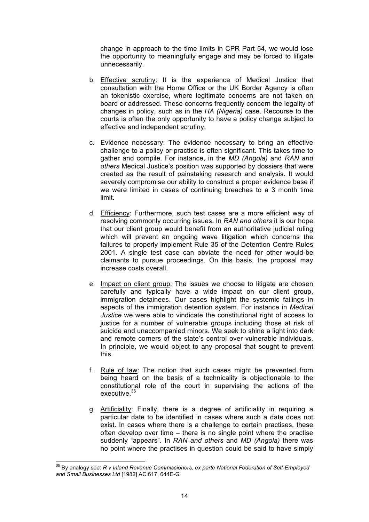change in approach to the time limits in CPR Part 54, we would lose the opportunity to meaningfully engage and may be forced to litigate unnecessarily.

- b. Effective scrutiny: It is the experience of Medical Justice that consultation with the Home Office or the UK Border Agency is often an tokenistic exercise, where legitimate concerns are not taken on board or addressed. These concerns frequently concern the legality of changes in policy, such as in the *HA (Nigeria)* case. Recourse to the courts is often the only opportunity to have a policy change subject to effective and independent scrutiny.
- c. Evidence necessary: The evidence necessary to bring an effective challenge to a policy or practise is often significant. This takes time to gather and compile. For instance, in the *MD (Angola)* and *RAN and others* Medical Justice's position was supported by dossiers that were created as the result of painstaking research and analysis. It would severely compromise our ability to construct a proper evidence base if we were limited in cases of continuing breaches to a 3 month time limit.
- d. Efficiency: Furthermore, such test cases are a more efficient way of resolving commonly occurring issues. In *RAN and others* it is our hope that our client group would benefit from an authoritative judicial ruling which will prevent an ongoing wave litigation which concerns the failures to properly implement Rule 35 of the Detention Centre Rules 2001. A single test case can obviate the need for other would-be claimants to pursue proceedings. On this basis, the proposal may increase costs overall.
- e. Impact on client group: The issues we choose to litigate are chosen carefully and typically have a wide impact on our client group, immigration detainees. Our cases highlight the systemic failings in aspects of the immigration detention system. For instance in *Medical Justice* we were able to vindicate the constitutional right of access to justice for a number of vulnerable groups including those at risk of suicide and unaccompanied minors. We seek to shine a light into dark and remote corners of the state's control over vulnerable individuals. In principle, we would object to any proposal that sought to prevent this.
- f. Rule of law: The notion that such cases might be prevented from being heard on the basis of a technicality is objectionable to the constitutional role of the court in supervising the actions of the executive.<sup>36</sup>
- g. Artificiality: Finally, there is a degree of artificiality in requiring a particular date to be identified in cases where such a date does not exist. In cases where there is a challenge to certain practises, these often develop over time – there is no single point where the practise suddenly "appears". In *RAN and others* and *MD (Angola)* there was no point where the practises in question could be said to have simply

 <sup>36</sup> By analogy see: *R v Inland Revenue Commissioners, ex parte National Federation of Self-Employed and Small Businesses Ltd* [1982] AC 617, 644E-G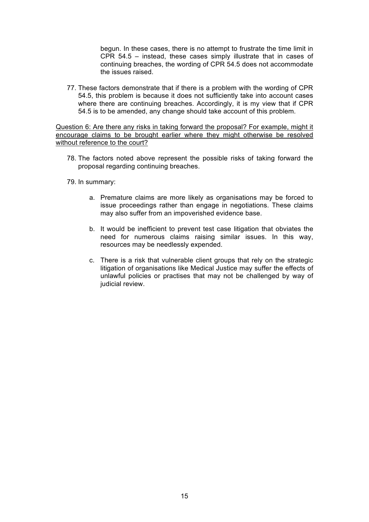begun. In these cases, there is no attempt to frustrate the time limit in CPR 54.5 – instead, these cases simply illustrate that in cases of continuing breaches, the wording of CPR 54.5 does not accommodate the issues raised.

77. These factors demonstrate that if there is a problem with the wording of CPR 54.5, this problem is because it does not sufficiently take into account cases where there are continuing breaches. Accordingly, it is my view that if CPR 54.5 is to be amended, any change should take account of this problem.

Question 6: Are there any risks in taking forward the proposal? For example, might it encourage claims to be brought earlier where they might otherwise be resolved without reference to the court?

- 78. The factors noted above represent the possible risks of taking forward the proposal regarding continuing breaches.
- 79. In summary:
	- a. Premature claims are more likely as organisations may be forced to issue proceedings rather than engage in negotiations. These claims may also suffer from an impoverished evidence base.
	- b. It would be inefficient to prevent test case litigation that obviates the need for numerous claims raising similar issues. In this way, resources may be needlessly expended.
	- c. There is a risk that vulnerable client groups that rely on the strategic litigation of organisations like Medical Justice may suffer the effects of unlawful policies or practises that may not be challenged by way of judicial review.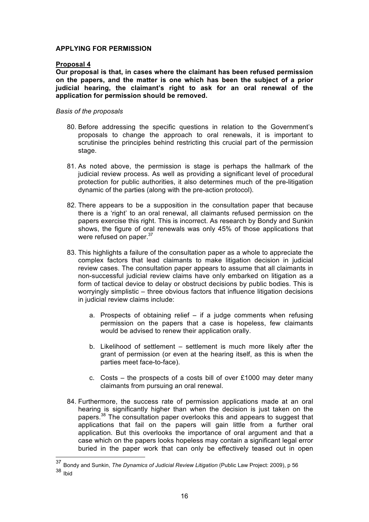# **APPLYING FOR PERMISSION**

# **Proposal 4**

**Our proposal is that, in cases where the claimant has been refused permission on the papers, and the matter is one which has been the subject of a prior judicial hearing, the claimant's right to ask for an oral renewal of the application for permission should be removed.**

### *Basis of the proposals*

- 80. Before addressing the specific questions in relation to the Government's proposals to change the approach to oral renewals, it is important to scrutinise the principles behind restricting this crucial part of the permission stage.
- 81. As noted above, the permission is stage is perhaps the hallmark of the judicial review process. As well as providing a significant level of procedural protection for public authorities, it also determines much of the pre-litigation dynamic of the parties (along with the pre-action protocol).
- 82. There appears to be a supposition in the consultation paper that because there is a 'right' to an oral renewal, all claimants refused permission on the papers exercise this right. This is incorrect. As research by Bondy and Sunkin shows, the figure of oral renewals was only 45% of those applications that were refused on paper.<sup>37</sup>
- 83. This highlights a failure of the consultation paper as a whole to appreciate the complex factors that lead claimants to make litigation decision in judicial review cases. The consultation paper appears to assume that all claimants in non-successful judicial review claims have only embarked on litigation as a form of tactical device to delay or obstruct decisions by public bodies. This is worryingly simplistic – three obvious factors that influence litigation decisions in judicial review claims include:
	- a. Prospects of obtaining relief if a judge comments when refusing permission on the papers that a case is hopeless, few claimants would be advised to renew their application orally.
	- b. Likelihood of settlement settlement is much more likely after the grant of permission (or even at the hearing itself, as this is when the parties meet face-to-face).
	- c. Costs the prospects of a costs bill of over  $£1000$  may deter many claimants from pursuing an oral renewal.
- 84. Furthermore, the success rate of permission applications made at an oral hearing is significantly higher than when the decision is just taken on the papers.<sup>38</sup> The consultation paper overlooks this and appears to suggest that applications that fail on the papers will gain little from a further oral application. But this overlooks the importance of oral argument and that a case which on the papers looks hopeless may contain a significant legal error buried in the paper work that can only be effectively teased out in open

 <sup>37</sup> Bondy and Sunkin, *The Dynamics of Judicial Review Litigation* (Public Law Project: 2009), p 56  $38$  Ibid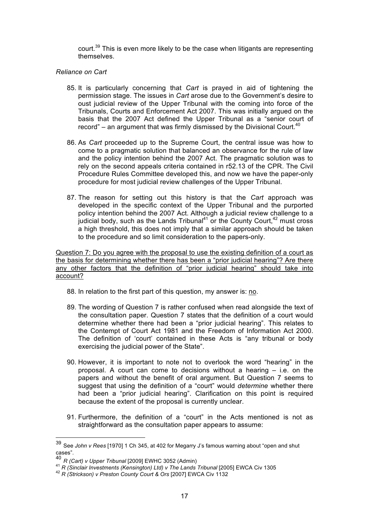court.<sup>39</sup> This is even more likely to be the case when litigants are representing themselves.

# *Reliance on Cart*

- 85. It is particularly concerning that *Cart* is prayed in aid of tightening the permission stage. The issues in *Cart* arose due to the Government's desire to oust judicial review of the Upper Tribunal with the coming into force of the Tribunals, Courts and Enforcement Act 2007. This was initially argued on the basis that the 2007 Act defined the Upper Tribunal as a "senior court of record" – an argument that was firmly dismissed by the Divisional Court.<sup>40</sup>
- 86. As *Cart* proceeded up to the Supreme Court, the central issue was how to come to a pragmatic solution that balanced an observance for the rule of law and the policy intention behind the 2007 Act. The pragmatic solution was to rely on the second appeals criteria contained in r52.13 of the CPR. The Civil Procedure Rules Committee developed this, and now we have the paper-only procedure for most judicial review challenges of the Upper Tribunal.
- 87. The reason for setting out this history is that the *Cart* approach was developed in the specific context of the Upper Tribunal and the purported policy intention behind the 2007 Act. Although a judicial review challenge to a iudicial body, such as the Lands Tribunal<sup>41</sup> or the County Court,  $42$  must cross a high threshold, this does not imply that a similar approach should be taken to the procedure and so limit consideration to the papers-only.

Question 7: Do you agree with the proposal to use the existing definition of a court as the basis for determining whether there has been a "prior judicial hearing"? Are there any other factors that the definition of "prior judicial hearing" should take into account?

- 88. In relation to the first part of this question, my answer is: no.
- 89. The wording of Question 7 is rather confused when read alongside the text of the consultation paper. Question 7 states that the definition of a court would determine whether there had been a "prior judicial hearing". This relates to the Contempt of Court Act 1981 and the Freedom of Information Act 2000. The definition of 'court' contained in these Acts is "any tribunal or body exercising the judicial power of the State".
- 90. However, it is important to note not to overlook the word "hearing" in the proposal. A court can come to decisions without a hearing – i.e. on the papers and without the benefit of oral argument. But Question 7 seems to suggest that using the definition of a "court" would *determine* whether there had been a "prior judicial hearing". Clarification on this point is required because the extent of the proposal is currently unclear.
- 91. Furthermore, the definition of a "court" in the Acts mentioned is not as straightforward as the consultation paper appears to assume:

 <sup>39</sup> See *John v Rees* [1970] 1 Ch 345, at 402 for Megarry J's famous warning about "open and shut

cases".<br><sup>40</sup> R (Cart) v Upper Tribunal [2009] EWHC 3052 (Admin)<br><sup>41</sup> R (Sinclair Investments (Kensington) Ltd) v The Lands Tribunal [2005] EWCA Civ 1305<br><sup>42</sup> R (Strickson) v Preston County Court & Ors [2007] EWCA Civ 1132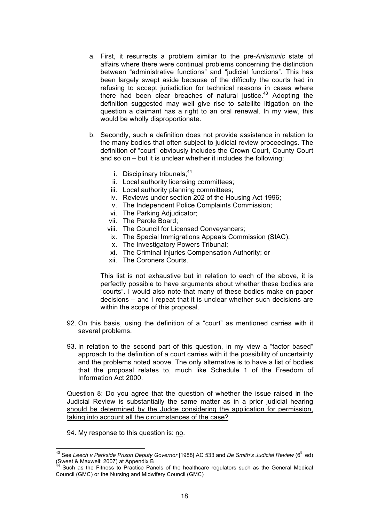- a. First, it resurrects a problem similar to the pre-*Anisminic* state of affairs where there were continual problems concerning the distinction between "administrative functions" and "judicial functions". This has been largely swept aside because of the difficulty the courts had in refusing to accept jurisdiction for technical reasons in cases where there had been clear breaches of natural justice.<sup>43</sup> Adopting the definition suggested may well give rise to satellite litigation on the question a claimant has a right to an oral renewal. In my view, this would be wholly disproportionate.
- b. Secondly, such a definition does not provide assistance in relation to the many bodies that often subject to judicial review proceedings. The definition of "court" obviously includes the Crown Court, County Court and so on – but it is unclear whether it includes the following:
	- i. Disciplinary tribunals: $44$
	- ii. Local authority licensing committees;
	- iii. Local authority planning committees;
	- iv. Reviews under section 202 of the Housing Act 1996;
	- v. The Independent Police Complaints Commission;
	- vi. The Parking Adjudicator;
	- vii. The Parole Board;
	- viii. The Council for Licensed Conveyancers;
	- ix. The Special Immigrations Appeals Commission (SIAC);
	- x. The Investigatory Powers Tribunal;
	- xi. The Criminal Injuries Compensation Authority; or
	- xii. The Coroners Courts.

This list is not exhaustive but in relation to each of the above, it is perfectly possible to have arguments about whether these bodies are "courts". I would also note that many of these bodies make on-paper decisions – and I repeat that it is unclear whether such decisions are within the scope of this proposal.

- 92. On this basis, using the definition of a "court" as mentioned carries with it several problems.
- 93. In relation to the second part of this question, in my view a "factor based" approach to the definition of a court carries with it the possibility of uncertainty and the problems noted above. The only alternative is to have a list of bodies that the proposal relates to, much like Schedule 1 of the Freedom of Information Act 2000.

Question 8: Do you agree that the question of whether the issue raised in the Judicial Review is substantially the same matter as in a prior judicial hearing should be determined by the Judge considering the application for permission, taking into account all the circumstances of the case?

94. My response to this question is: no.

<sup>&</sup>lt;sup>43</sup> See Leech v Parkside Prison Deputy Governor [1988] AC 533 and De Smith's Judicial Review (6<sup>th</sup> ed) (Sweet & Maxwell: 2007) at Appendix B

Such as the Fitness to Practice Panels of the healthcare regulators such as the General Medical Council (GMC) or the Nursing and Midwifery Council (GMC)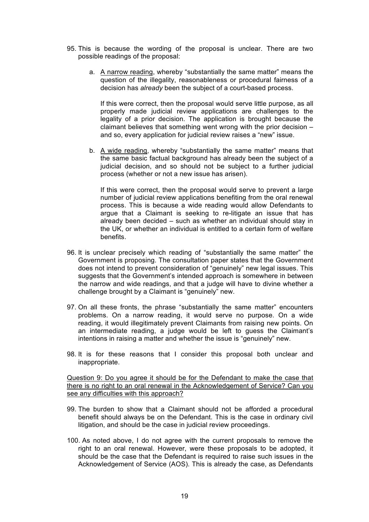- 95. This is because the wording of the proposal is unclear. There are two possible readings of the proposal:
	- a. A narrow reading, whereby "substantially the same matter" means the question of the illegality, reasonableness or procedural fairness of a decision has *already* been the subject of a court-based process.

If this were correct, then the proposal would serve little purpose, as all properly made judicial review applications are challenges to the legality of a prior decision. The application is brought because the claimant believes that something went wrong with the prior decision – and so, every application for judicial review raises a "new" issue.

b. A wide reading, whereby "substantially the same matter" means that the same basic factual background has already been the subject of a judicial decision, and so should not be subject to a further judicial process (whether or not a new issue has arisen).

If this were correct, then the proposal would serve to prevent a large number of judicial review applications benefiting from the oral renewal process. This is because a wide reading would allow Defendants to argue that a Claimant is seeking to re-litigate an issue that has already been decided – such as whether an individual should stay in the UK, or whether an individual is entitled to a certain form of welfare benefits.

- 96. It is unclear precisely which reading of "substantially the same matter" the Government is proposing. The consultation paper states that the Government does not intend to prevent consideration of "genuinely" new legal issues. This suggests that the Government's intended approach is somewhere in between the narrow and wide readings, and that a judge will have to divine whether a challenge brought by a Claimant is "genuinely" new.
- 97. On all these fronts, the phrase "substantially the same matter" encounters problems. On a narrow reading, it would serve no purpose. On a wide reading, it would illegitimately prevent Claimants from raising new points. On an intermediate reading, a judge would be left to guess the Claimant's intentions in raising a matter and whether the issue is "genuinely" new.
- 98. It is for these reasons that I consider this proposal both unclear and inappropriate.

Question 9: Do you agree it should be for the Defendant to make the case that there is no right to an oral renewal in the Acknowledgement of Service? Can you see any difficulties with this approach?

- 99. The burden to show that a Claimant should not be afforded a procedural benefit should always be on the Defendant. This is the case in ordinary civil litigation, and should be the case in judicial review proceedings.
- 100. As noted above, I do not agree with the current proposals to remove the right to an oral renewal. However, were these proposals to be adopted, it should be the case that the Defendant is required to raise such issues in the Acknowledgement of Service (AOS). This is already the case, as Defendants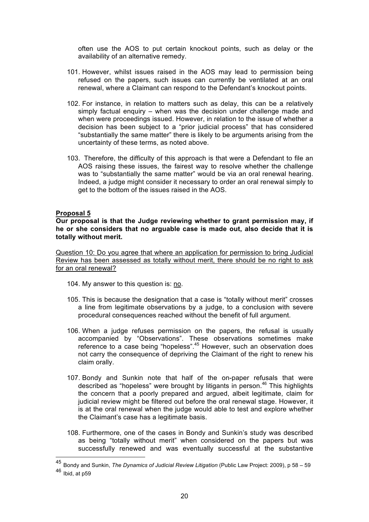often use the AOS to put certain knockout points, such as delay or the availability of an alternative remedy.

- 101. However, whilst issues raised in the AOS may lead to permission being refused on the papers, such issues can currently be ventilated at an oral renewal, where a Claimant can respond to the Defendant's knockout points.
- 102. For instance, in relation to matters such as delay, this can be a relatively simply factual enquiry – when was the decision under challenge made and when were proceedings issued. However, in relation to the issue of whether a decision has been subject to a "prior judicial process" that has considered "substantially the same matter" there is likely to be arguments arising from the uncertainty of these terms, as noted above.
- 103. Therefore, the difficulty of this approach is that were a Defendant to file an AOS raising these issues, the fairest way to resolve whether the challenge was to "substantially the same matter" would be via an oral renewal hearing. Indeed, a judge might consider it necessary to order an oral renewal simply to get to the bottom of the issues raised in the AOS.

#### **Proposal 5**

**Our proposal is that the Judge reviewing whether to grant permission may, if he or she considers that no arguable case is made out, also decide that it is totally without merit.**

Question 10: Do you agree that where an application for permission to bring Judicial Review has been assessed as totally without merit, there should be no right to ask for an oral renewal?

- 104. My answer to this question is: no.
- 105. This is because the designation that a case is "totally without merit" crosses a line from legitimate observations by a judge, to a conclusion with severe procedural consequences reached without the benefit of full argument.
- 106. When a judge refuses permission on the papers, the refusal is usually accompanied by "Observations". These observations sometimes make reference to a case being "hopeless".<sup>45</sup> However, such an observation does not carry the consequence of depriving the Claimant of the right to renew his claim orally.
- 107. Bondy and Sunkin note that half of the on-paper refusals that were described as "hopeless" were brought by litigants in person.<sup>46</sup> This highlights the concern that a poorly prepared and argued, albeit legitimate, claim for judicial review might be filtered out before the oral renewal stage. However, it is at the oral renewal when the judge would able to test and explore whether the Claimant's case has a legitimate basis.
- 108. Furthermore, one of the cases in Bondy and Sunkin's study was described as being "totally without merit" when considered on the papers but was successfully renewed and was eventually successful at the substantive

 <sup>45</sup> Bondy and Sunkin, *The Dynamics of Judicial Review Litigation* (Public Law Project: 2009), p 58 – 59 <sup>46</sup> Ibid, at p59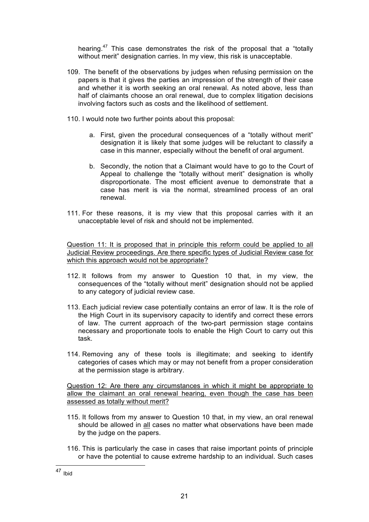hearing.<sup>47</sup> This case demonstrates the risk of the proposal that a "totally without merit" designation carries. In my view, this risk is unacceptable.

- 109. The benefit of the observations by judges when refusing permission on the papers is that it gives the parties an impression of the strength of their case and whether it is worth seeking an oral renewal. As noted above, less than half of claimants choose an oral renewal, due to complex litigation decisions involving factors such as costs and the likelihood of settlement.
- 110. I would note two further points about this proposal:
	- a. First, given the procedural consequences of a "totally without merit" designation it is likely that some judges will be reluctant to classify a case in this manner, especially without the benefit of oral argument.
	- b. Secondly, the notion that a Claimant would have to go to the Court of Appeal to challenge the "totally without merit" designation is wholly disproportionate. The most efficient avenue to demonstrate that a case has merit is via the normal, streamlined process of an oral renewal.
- 111. For these reasons, it is my view that this proposal carries with it an unacceptable level of risk and should not be implemented.

Question 11: It is proposed that in principle this reform could be applied to all Judicial Review proceedings. Are there specific types of Judicial Review case for which this approach would not be appropriate?

- 112. It follows from my answer to Question 10 that, in my view, the consequences of the "totally without merit" designation should not be applied to any category of judicial review case.
- 113. Each judicial review case potentially contains an error of law. It is the role of the High Court in its supervisory capacity to identify and correct these errors of law. The current approach of the two-part permission stage contains necessary and proportionate tools to enable the High Court to carry out this task.
- 114. Removing any of these tools is illegitimate; and seeking to identify categories of cases which may or may not benefit from a proper consideration at the permission stage is arbitrary.

Question 12: Are there any circumstances in which it might be appropriate to allow the claimant an oral renewal hearing, even though the case has been assessed as totally without merit?

- 115. It follows from my answer to Question 10 that, in my view, an oral renewal should be allowed in all cases no matter what observations have been made by the judge on the papers.
- 116. This is particularly the case in cases that raise important points of principle or have the potential to cause extreme hardship to an individual. Such cases

 $47$  Ibid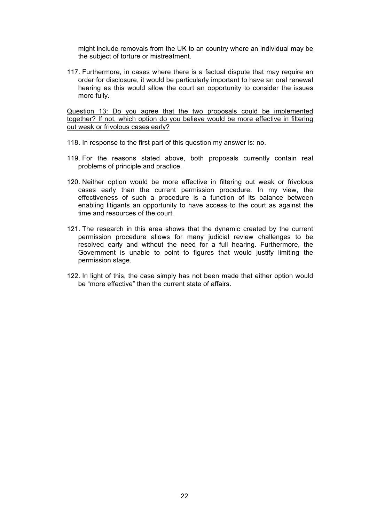might include removals from the UK to an country where an individual may be the subject of torture or mistreatment.

117. Furthermore, in cases where there is a factual dispute that may require an order for disclosure, it would be particularly important to have an oral renewal hearing as this would allow the court an opportunity to consider the issues more fully.

Question 13: Do you agree that the two proposals could be implemented together? If not, which option do you believe would be more effective in filtering out weak or frivolous cases early?

- 118. In response to the first part of this question my answer is: no.
- 119. For the reasons stated above, both proposals currently contain real problems of principle and practice.
- 120. Neither option would be more effective in filtering out weak or frivolous cases early than the current permission procedure. In my view, the effectiveness of such a procedure is a function of its balance between enabling litigants an opportunity to have access to the court as against the time and resources of the court.
- 121. The research in this area shows that the dynamic created by the current permission procedure allows for many judicial review challenges to be resolved early and without the need for a full hearing. Furthermore, the Government is unable to point to figures that would justify limiting the permission stage.
- 122. In light of this, the case simply has not been made that either option would be "more effective" than the current state of affairs.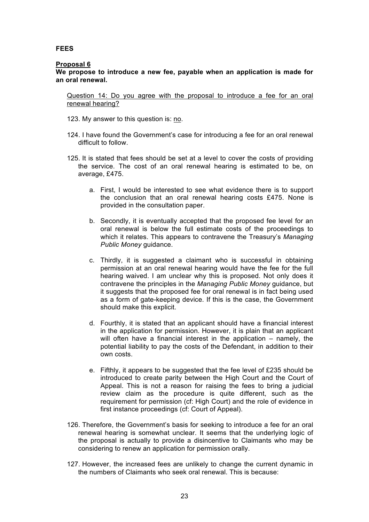# **FEES**

#### **Proposal 6**

**We propose to introduce a new fee, payable when an application is made for an oral renewal.**

Question 14: Do you agree with the proposal to introduce a fee for an oral renewal hearing?

- 123. My answer to this question is: no.
- 124. I have found the Government's case for introducing a fee for an oral renewal difficult to follow.
- 125. It is stated that fees should be set at a level to cover the costs of providing the service. The cost of an oral renewal hearing is estimated to be, on average, £475.
	- a. First, I would be interested to see what evidence there is to support the conclusion that an oral renewal hearing costs £475. None is provided in the consultation paper.
	- b. Secondly, it is eventually accepted that the proposed fee level for an oral renewal is below the full estimate costs of the proceedings to which it relates. This appears to contravene the Treasury's *Managing Public Money* guidance.
	- c. Thirdly, it is suggested a claimant who is successful in obtaining permission at an oral renewal hearing would have the fee for the full hearing waived. I am unclear why this is proposed. Not only does it contravene the principles in the *Managing Public Money* guidance, but it suggests that the proposed fee for oral renewal is in fact being used as a form of gate-keeping device. If this is the case, the Government should make this explicit.
	- d. Fourthly, it is stated that an applicant should have a financial interest in the application for permission. However, it is plain that an applicant will often have a financial interest in the application – namely, the potential liability to pay the costs of the Defendant, in addition to their own costs.
	- e. Fifthly, it appears to be suggested that the fee level of £235 should be introduced to create parity between the High Court and the Court of Appeal. This is not a reason for raising the fees to bring a judicial review claim as the procedure is quite different, such as the requirement for permission (cf: High Court) and the role of evidence in first instance proceedings (cf: Court of Appeal).
- 126. Therefore, the Government's basis for seeking to introduce a fee for an oral renewal hearing is somewhat unclear. It seems that the underlying logic of the proposal is actually to provide a disincentive to Claimants who may be considering to renew an application for permission orally.
- 127. However, the increased fees are unlikely to change the current dynamic in the numbers of Claimants who seek oral renewal. This is because: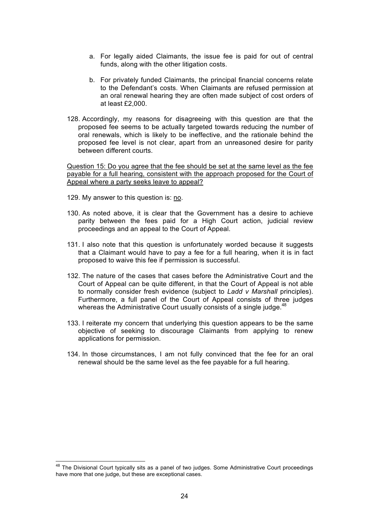- a. For legally aided Claimants, the issue fee is paid for out of central funds, along with the other litigation costs.
- b. For privately funded Claimants, the principal financial concerns relate to the Defendant's costs. When Claimants are refused permission at an oral renewal hearing they are often made subject of cost orders of at least £2,000.
- 128. Accordingly, my reasons for disagreeing with this question are that the proposed fee seems to be actually targeted towards reducing the number of oral renewals, which is likely to be ineffective, and the rationale behind the proposed fee level is not clear, apart from an unreasoned desire for parity between different courts.

Question 15: Do you agree that the fee should be set at the same level as the fee payable for a full hearing, consistent with the approach proposed for the Court of Appeal where a party seeks leave to appeal?

- 129. My answer to this question is: no.
- 130. As noted above, it is clear that the Government has a desire to achieve parity between the fees paid for a High Court action, judicial review proceedings and an appeal to the Court of Appeal.
- 131. I also note that this question is unfortunately worded because it suggests that a Claimant would have to pay a fee for a full hearing, when it is in fact proposed to waive this fee if permission is successful.
- 132. The nature of the cases that cases before the Administrative Court and the Court of Appeal can be quite different, in that the Court of Appeal is not able to normally consider fresh evidence (subject to *Ladd v Marshall* principles). Furthermore, a full panel of the Court of Appeal consists of three judges whereas the Administrative Court usually consists of a single judge.<sup>48</sup>
- 133. I reiterate my concern that underlying this question appears to be the same objective of seeking to discourage Claimants from applying to renew applications for permission.
- 134. In those circumstances, I am not fully convinced that the fee for an oral renewal should be the same level as the fee payable for a full hearing.

 $48$  The Divisional Court typically sits as a panel of two judges. Some Administrative Court proceedings have more that one judge, but these are exceptional cases.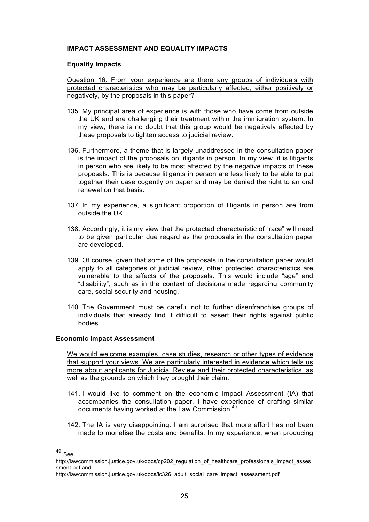# **IMPACT ASSESSMENT AND EQUALITY IMPACTS**

### **Equality Impacts**

Question 16: From your experience are there any groups of individuals with protected characteristics who may be particularly affected, either positively or negatively, by the proposals in this paper?

- 135. My principal area of experience is with those who have come from outside the UK and are challenging their treatment within the immigration system. In my view, there is no doubt that this group would be negatively affected by these proposals to tighten access to judicial review.
- 136. Furthermore, a theme that is largely unaddressed in the consultation paper is the impact of the proposals on litigants in person. In my view, it is litigants in person who are likely to be most affected by the negative impacts of these proposals. This is because litigants in person are less likely to be able to put together their case cogently on paper and may be denied the right to an oral renewal on that basis.
- 137. In my experience, a significant proportion of litigants in person are from outside the UK.
- 138. Accordingly, it is my view that the protected characteristic of "race" will need to be given particular due regard as the proposals in the consultation paper are developed.
- 139. Of course, given that some of the proposals in the consultation paper would apply to all categories of judicial review, other protected characteristics are vulnerable to the affects of the proposals. This would include "age" and "disability", such as in the context of decisions made regarding community care, social security and housing.
- 140. The Government must be careful not to further disenfranchise groups of individuals that already find it difficult to assert their rights against public bodies.

#### **Economic Impact Assessment**

We would welcome examples, case studies, research or other types of evidence that support your views. We are particularly interested in evidence which tells us more about applicants for Judicial Review and their protected characteristics, as well as the grounds on which they brought their claim.

- 141. I would like to comment on the economic Impact Assessment (IA) that accompanies the consultation paper. I have experience of drafting similar documents having worked at the Law Commission.49
- 142. The IA is very disappointing. I am surprised that more effort has not been made to monetise the costs and benefits. In my experience, when producing

 <sup>49</sup> See

http://lawcommission.justice.gov.uk/docs/cp202 regulation of healthcare professionals impact asses sment.pdf and

http://lawcommission.justice.gov.uk/docs/lc326\_adult\_social\_care\_impact\_assessment.pdf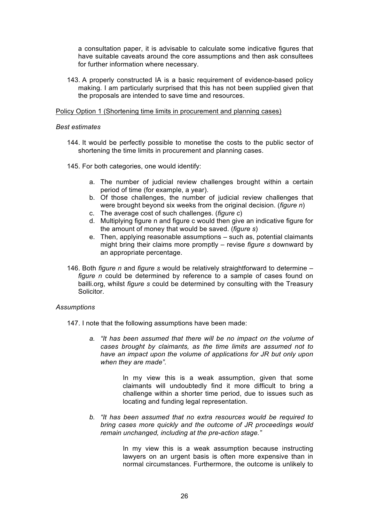a consultation paper, it is advisable to calculate some indicative figures that have suitable caveats around the core assumptions and then ask consultees for further information where necessary.

143. A properly constructed IA is a basic requirement of evidence-based policy making. I am particularly surprised that this has not been supplied given that the proposals are intended to save time and resources.

#### Policy Option 1 (Shortening time limits in procurement and planning cases)

#### *Best estimates*

- 144. It would be perfectly possible to monetise the costs to the public sector of shortening the time limits in procurement and planning cases.
- 145. For both categories, one would identify:
	- a. The number of judicial review challenges brought within a certain period of time (for example, a year).
	- b. Of those challenges, the number of judicial review challenges that were brought beyond six weeks from the original decision. (*figure n*)
	- c. The average cost of such challenges. (*figure c*)
	- d. Multiplying figure n and figure c would then give an indicative figure for the amount of money that would be saved. (*figure s*)
	- e. Then, applying reasonable assumptions such as, potential claimants might bring their claims more promptly – revise *figure s* downward by an appropriate percentage.
- 146. Both *figure n* and *figure s* would be relatively straightforward to determine *figure n* could be determined by reference to a sample of cases found on bailli.org, whilst *figure s* could be determined by consulting with the Treasury Solicitor.

#### *Assumptions*

- 147. I note that the following assumptions have been made:
	- *a. "It has been assumed that there will be no impact on the volume of cases brought by claimants, as the time limits are assumed not to have an impact upon the volume of applications for JR but only upon when they are made".*

In my view this is a weak assumption, given that some claimants will undoubtedly find it more difficult to bring a challenge within a shorter time period, due to issues such as locating and funding legal representation.

*b. "It has been assumed that no extra resources would be required to bring cases more quickly and the outcome of JR proceedings would remain unchanged, including at the pre-action stage."* 

> In my view this is a weak assumption because instructing lawyers on an urgent basis is often more expensive than in normal circumstances. Furthermore, the outcome is unlikely to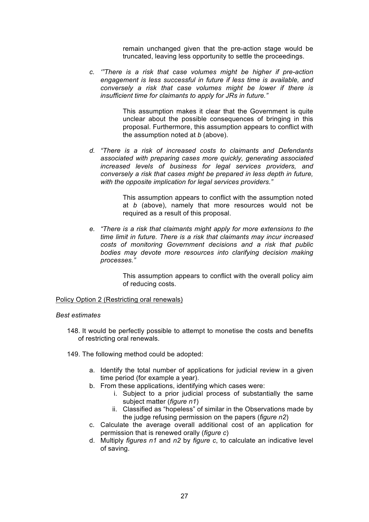remain unchanged given that the pre-action stage would be truncated, leaving less opportunity to settle the proceedings.

*c. '"There is a risk that case volumes might be higher if pre-action engagement is less successful in future if less time is available, and conversely a risk that case volumes might be lower if there is insufficient time for claimants to apply for JRs in future."* 

> This assumption makes it clear that the Government is quite unclear about the possible consequences of bringing in this proposal. Furthermore, this assumption appears to conflict with the assumption noted at *b* (above).

*d. "There is a risk of increased costs to claimants and Defendants associated with preparing cases more quickly, generating associated increased levels of business for legal services providers, and conversely a risk that cases might be prepared in less depth in future, with the opposite implication for legal services providers."* 

> This assumption appears to conflict with the assumption noted at *b* (above), namely that more resources would not be required as a result of this proposal.

*e. "There is a risk that claimants might apply for more extensions to the time limit in future. There is a risk that claimants may incur increased costs of monitoring Government decisions and a risk that public bodies may devote more resources into clarifying decision making processes."* 

> This assumption appears to conflict with the overall policy aim of reducing costs.

Policy Option 2 (Restricting oral renewals)

#### *Best estimates*

- 148. It would be perfectly possible to attempt to monetise the costs and benefits of restricting oral renewals.
- 149. The following method could be adopted:
	- a. Identify the total number of applications for judicial review in a given time period (for example a year).
	- b. From these applications, identifying which cases were:
		- i. Subject to a prior judicial process of substantially the same subject matter (*figure n1*)
		- ii. Classified as "hopeless" of similar in the Observations made by the judge refusing permission on the papers (*figure n2*)
	- c. Calculate the average overall additional cost of an application for permission that is renewed orally (*figure c*)
	- d. Multiply *figures n1* and *n2* by *figure c*, to calculate an indicative level of saving.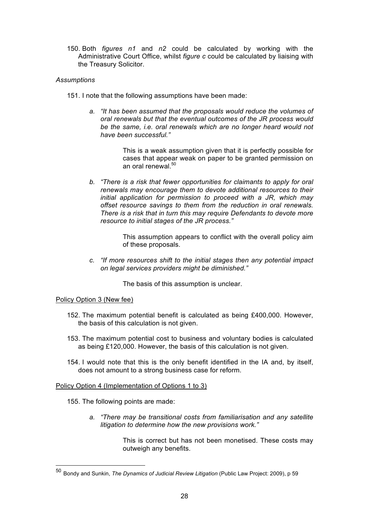150. Both *figures n1* and *n2* could be calculated by working with the Administrative Court Office, whilst *figure c* could be calculated by liaising with the Treasury Solicitor.

# *Assumptions*

- 151. I note that the following assumptions have been made:
	- *a. "It has been assumed that the proposals would reduce the volumes of oral renewals but that the eventual outcomes of the JR process would be the same, i.e. oral renewals which are no longer heard would not have been successful."*

This is a weak assumption given that it is perfectly possible for cases that appear weak on paper to be granted permission on an oral renewal.<sup>50</sup>

*b. "There is a risk that fewer opportunities for claimants to apply for oral renewals may encourage them to devote additional resources to their initial application for permission to proceed with a JR, which may offset resource savings to them from the reduction in oral renewals. There is a risk that in turn this may require Defendants to devote more resource to initial stages of the JR process."* 

> This assumption appears to conflict with the overall policy aim of these proposals.

*c. "If more resources shift to the initial stages then any potential impact on legal services providers might be diminished."* 

The basis of this assumption is unclear.

#### Policy Option 3 (New fee)

- 152. The maximum potential benefit is calculated as being £400,000. However, the basis of this calculation is not given.
- 153. The maximum potential cost to business and voluntary bodies is calculated as being £120,000. However, the basis of this calculation is not given.
- 154. I would note that this is the only benefit identified in the IA and, by itself, does not amount to a strong business case for reform.

Policy Option 4 (Implementation of Options 1 to 3)

155. The following points are made:

*a. "There may be transitional costs from familiarisation and any satellite litigation to determine how the new provisions work."*

> This is correct but has not been monetised. These costs may outweigh any benefits.

 <sup>50</sup> Bondy and Sunkin, *The Dynamics of Judicial Review Litigation* (Public Law Project: 2009), p 59